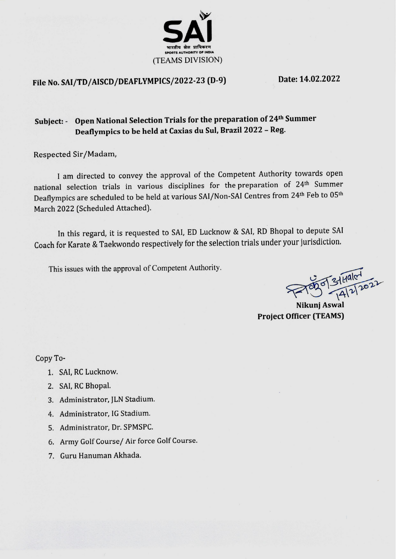

# File No. SAI/TD/AISCD/DEAFLYMPICS/2022-23 (D-9)

Date: 14.02.2022

## Subject: - Open National Selection Trials for the preparation of 24<sup>th</sup> Summer Deaflympics to be held at Caxias du Sul, Brazil 2022 - Reg.

Respected Sir/Madam,

I am directed to convey the approval of the Competent Authority towards open national selection trials in various disciplines for the preparation of 24<sup>th</sup> Summer Deaflympics are scheduled to be held at various SAI/Non-SAI Centres from 24th Feb to 05th March 2022 (Scheduled Attached).

In this regard, it is requested to SAI, ED Lucknow & SAI, RD Bhopal to depute SAI Coach for Karate & Taekwondo respectively for the selection trials under your jurisdiction.

This issues with the approval of Competent Authority.

 $731401$ 

**Project Officer (TEAMS)** 

Copy To-

- 1. SAI, RC Lucknow.
- 2. SAI, RC Bhopal.
- 3. Administrator, JLN Stadium.
- 4. Administrator, IG Stadium.
- 5. Administrator, Dr. SPMSPC.
- 6. Army Golf Course/ Air force Golf Course.
- 7. Guru Hanuman Akhada.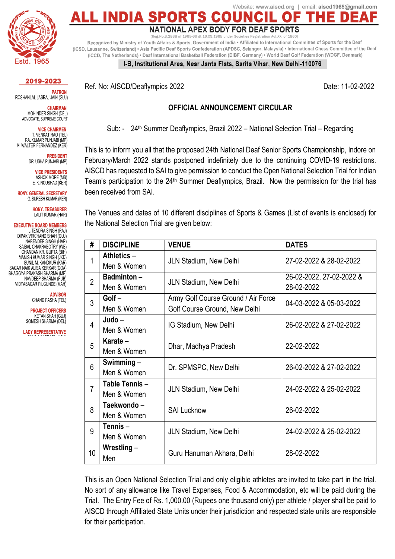Ref. No: AISCD/Deaflympics 2022 Date: 11-02-2022

#### **OFFICIAL ANNOUNCEMENT CIRCULAR**

Sub: - 24<sup>th</sup> Summer Deaflympics, Brazil 2022 - National Selection Trial - Regarding

This is to inform you all that the proposed 24th National Deaf Senior Sports Championship, Indore on February/March 2022 stands postponed indefinitely due to the continuing COVID-19 restrictions. AISCD has requested to SAI to give permission to conduct the Open National Selection Trial for Indian Team's participation to the 24<sup>th</sup> Summer Deaflympics, Brazil. Now the permission for the trial has been received from SAI.

The Venues and dates of 10 different disciplines of Sports & Games (List of events is enclosed) for the National Selection Trial are given below:

| #              | <b>DISCIPLINE</b>                                      | <b>VENUE</b>                                                         | <b>DATES</b>                           |
|----------------|--------------------------------------------------------|----------------------------------------------------------------------|----------------------------------------|
| 1              | Athletics -<br>Men & Women                             | <b>JLN Stadium, New Delhi</b>                                        | 27-02-2022 & 28-02-2022                |
| $\mathfrak{p}$ | Badminton-<br>Men & Women                              | JLN Stadium, New Delhi                                               | 26-02-2022, 27-02-2022 &<br>28-02-2022 |
| 3              | Golf-<br>Men & Women                                   | Army Golf Course Ground / Air Force<br>Golf Course Ground, New Delhi | 04-03-2022 & 05-03-2022                |
| 4              | $Judo -$<br>Men & Women                                | IG Stadium, New Delhi                                                | 26-02-2022 & 27-02-2022                |
| 5              | Karate $-$<br>Men & Women                              | Dhar, Madhya Pradesh                                                 | 22-02-2022                             |
| 6              | Swimming $-$<br>Men & Women                            | Dr. SPMSPC, New Delhi                                                | 26-02-2022 & 27-02-2022                |
| $\overline{7}$ | Table Tennis-<br>JLN Stadium, New Delhi<br>Men & Women |                                                                      | 24-02-2022 & 25-02-2022                |
| 8              | Taekwondo -<br><b>SAI Lucknow</b><br>Men & Women       |                                                                      | 26-02-2022                             |
| 9              | Tennis $-$<br>Men & Women                              | JLN Stadium, New Delhi                                               | 24-02-2022 & 25-02-2022                |
| 10             | Wrestling $-$<br>Guru Hanuman Akhara, Delhi<br>Men     |                                                                      | 28-02-2022                             |

This is an Open National Selection Trial and only eligible athletes are invited to take part in the trial. No sort of any allowance like Travel Expenses, Food & Accommodation, etc will be paid during the Trial. The Entry Fee of Rs. 1,000.00 (Rupees one thousand only) per athlete / player shall be paid to AISCD through Affiliated State Units under their jurisdiction and respected state units are responsible for their participation.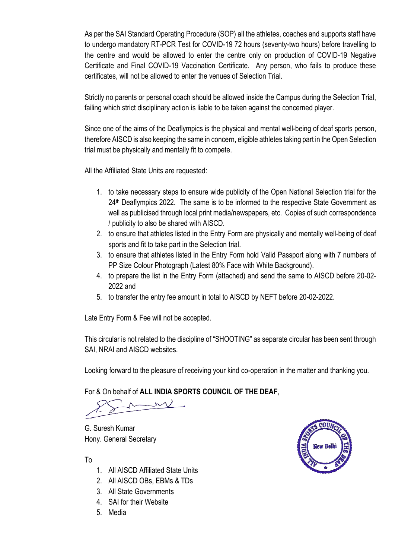As per the SAI Standard Operating Procedure (SOP) all the athletes, coaches and supports staff have to undergo mandatory RT-PCR Test for COVID-19 72 hours (seventy-two hours) before travelling to the centre and would be allowed to enter the centre only on production of COVID-19 Negative Certificate and Final COVID-19 Vaccination Certificate. Any person, who fails to produce these certificates, will not be allowed to enter the venues of Selection Trial.

Strictly no parents or personal coach should be allowed inside the Campus during the Selection Trial, failing which strict disciplinary action is liable to be taken against the concerned player.

Since one of the aims of the Deaflympics is the physical and mental well-being of deaf sports person, therefore AISCD is also keeping the same in concern, eligible athletes taking part in the Open Selection trial must be physically and mentally fit to compete.

All the Affiliated State Units are requested:

- 1. to take necessary steps to ensure wide publicity of the Open National Selection trial for the 24<sup>th</sup> Deaflympics 2022. The same is to be informed to the respective State Government as well as publicised through local print media/newspapers, etc. Copies of such correspondence / publicity to also be shared with AISCD.
- 2. to ensure that athletes listed in the Entry Form are physically and mentally well-being of deaf sports and fit to take part in the Selection trial.
- 3. to ensure that athletes listed in the Entry Form hold Valid Passport along with 7 numbers of PP Size Colour Photograph (Latest 80% Face with White Background).
- 4. to prepare the list in the Entry Form (attached) and send the same to AISCD before 20-02- 2022 and
- 5. to transfer the entry fee amount in total to AISCD by NEFT before 20-02-2022.

Late Entry Form & Fee will not be accepted.

This circular is not related to the discipline of "SHOOTING" as separate circular has been sent through SAI, NRAI and AISCD websites.

Looking forward to the pleasure of receiving your kind co-operation in the matter and thanking you.

For & On behalf of **ALL INDIA SPORTS COUNCIL OF THE DEAF**,

G. Suresh Kumar Hony. General Secretary



To

- 1. All AISCD Affiliated State Units
- 2. All AISCD OBs, EBMs & TDs
- 3. All State Governments
- 4. SAI for their Website
- 5. Media